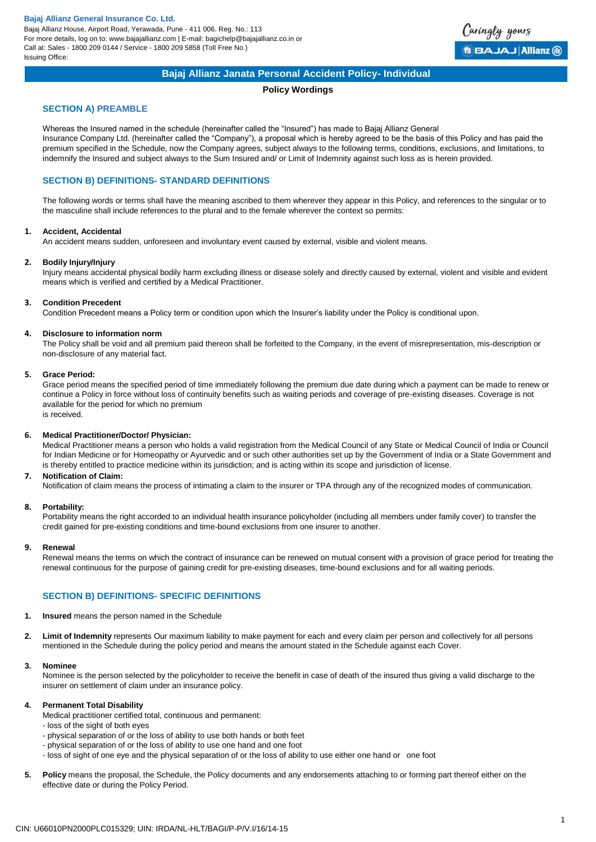Bajaj Allianz House, Airport Road, Yerawada, Pune - 411 006. Reg. No.: 113 For more details, log on to: www.bajajallianz.com | E-mail: bagichelp@bajajallianz.co.in or Call at: Sales - 1800 209 0144 / Service - 1800 209 5858 (Toll Free No.) Issuing Office:



## **Bajaj Allianz Janata Personal Accident Policy- Individual**

### **Policy Wordings**

## **SECTION A) PREAMBLE**

Whereas the Insured named in the schedule (hereinafter called the "Insured") has made to Bajaj Allianz General Insurance Company Ltd. (hereinafter called the "Company"), a proposal which is hereby agreed to be the basis of this Policy and has paid the premium specified in the Schedule, now the Company agrees, subject always to the following terms, conditions, exclusions, and limitations, to indemnify the Insured and subject always to the Sum Insured and/ or Limit of Indemnity against such loss as is herein provided.

## **SECTION B) DEFINITIONS- STANDARD DEFINITIONS**

The following words or terms shall have the meaning ascribed to them wherever they appear in this Policy, and references to the singular or to the masculine shall include references to the plural and to the female wherever the context so permits:

#### **1. Accident, Accidental**

An accident means sudden, unforeseen and involuntary event caused by external, visible and violent means.

#### **2. Bodily Injury/Injury**

Injury means accidental physical bodily harm excluding illness or disease solely and directly caused by external, violent and visible and evident means which is verified and certified by a Medical Practitioner.

#### **3. Condition Precedent**

Condition Precedent means a Policy term or condition upon which the Insurer's liability under the Policy is conditional upon.

#### **4. Disclosure to information norm**

The Policy shall be void and all premium paid thereon shall be forfeited to the Company, in the event of misrepresentation, mis-description or non-disclosure of any material fact.

#### **5. Grace Period:**

Grace period means the specified period of time immediately following the premium due date during which a payment can be made to renew or continue a Policy in force without loss of continuity benefits such as waiting periods and coverage of pre-existing diseases. Coverage is not available for the period for which no premium

is received.

### **6. Medical Practitioner/Doctor/ Physician:**

Medical Practitioner means a person who holds a valid registration from the Medical Council of any State or Medical Council of India or Council for Indian Medicine or for Homeopathy or Ayurvedic and or such other authorities set up by the Government of India or a State Government and is thereby entitled to practice medicine within its jurisdiction; and is acting within its scope and jurisdiction of license.

#### **7. Notification of Claim:**

Notification of claim means the process of intimating a claim to the insurer or TPA through any of the recognized modes of communication.

#### **8. Portability:**

Portability means the right accorded to an individual health insurance policyholder (including all members under family cover) to transfer the credit gained for pre-existing conditions and time-bound exclusions from one insurer to another.

#### **9. Renewal**

Renewal means the terms on which the contract of insurance can be renewed on mutual consent with a provision of grace period for treating the renewal continuous for the purpose of gaining credit for pre-existing diseases, time-bound exclusions and for all waiting periods.

# **SECTION B) DEFINITIONS- SPECIFIC DEFINITIONS**

- **1. Insured** means the person named in the Schedule
- **2. Limit of Indemnity** represents Our maximum liability to make payment for each and every claim per person and collectively for all persons mentioned in the Schedule during the policy period and means the amount stated in the Schedule against each Cover.

#### **3. Nominee**

Nominee is the person selected by the policyholder to receive the benefit in case of death of the insured thus giving a valid discharge to the insurer on settlement of claim under an insurance policy.

### **4. Permanent Total Disability**

- Medical practitioner certified total, continuous and permanent:
- loss of the sight of both eyes
- physical separation of or the loss of ability to use both hands or both feet
- physical separation of or the loss of ability to use one hand and one foot
- loss of sight of one eye and the physical separation of or the loss of ability to use either one hand or one foot
- **5. Policy** means the proposal, the Schedule, the Policy documents and any endorsements attaching to or forming part thereof either on the effective date or during the Policy Period.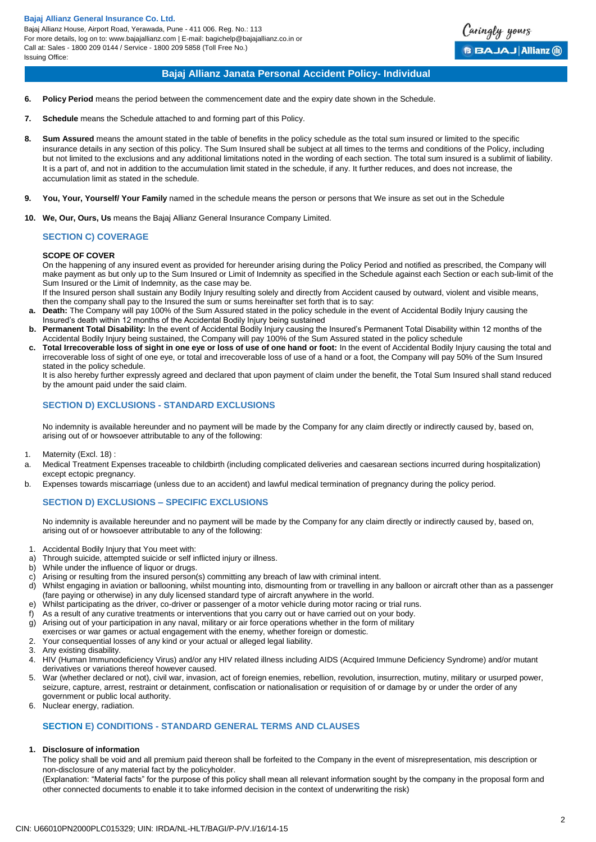

## **Bajaj Allianz Janata Personal Accident Policy- Individual**

- **6. Policy Period** means the period between the commencement date and the expiry date shown in the Schedule.
- **7. Schedule** means the Schedule attached to and forming part of this Policy.
- **8. Sum Assured** means the amount stated in the table of benefits in the policy schedule as the total sum insured or limited to the specific insurance details in any section of this policy. The Sum Insured shall be subject at all times to the terms and conditions of the Policy, including but not limited to the exclusions and any additional limitations noted in the wording of each section. The total sum insured is a sublimit of liability. It is a part of, and not in addition to the accumulation limit stated in the schedule, if any. It further reduces, and does not increase, the accumulation limit as stated in the schedule.
- **9. You, Your, Yourself/ Your Family** named in the schedule means the person or persons that We insure as set out in the Schedule
- **10. We, Our, Ours, Us** means the Bajaj Allianz General Insurance Company Limited.

## **SECTION C) COVERAGE**

#### **SCOPE OF COVER**

On the happening of any insured event as provided for hereunder arising during the Policy Period and notified as prescribed, the Company will make payment as but only up to the Sum Insured or Limit of Indemnity as specified in the Schedule against each Section or each sub-limit of the Sum Insured or the Limit of Indemnity, as the case may be.

If the Insured person shall sustain any Bodily Injury resulting solely and directly from Accident caused by outward, violent and visible means, then the company shall pay to the Insured the sum or sums hereinafter set forth that is to say:

- **a. Death:** The Company will pay 100% of the Sum Assured stated in the policy schedule in the event of Accidental Bodily Injury causing the Insured's death within 12 months of the Accidental Bodily Injury being sustained
- **b. Permanent Total Disability:** In the event of Accidental Bodily Injury causing the Insured's Permanent Total Disability within 12 months of the Accidental Bodily Injury being sustained, the Company will pay 100% of the Sum Assured stated in the policy schedule
- **c. Total Irrecoverable loss of sight in one eye or loss of use of one hand or foot:** In the event of Accidental Bodily Injury causing the total and irrecoverable loss of sight of one eye, or total and irrecoverable loss of use of a hand or a foot, the Company will pay 50% of the Sum Insured stated in the policy schedule.

It is also hereby further expressly agreed and declared that upon payment of claim under the benefit, the Total Sum Insured shall stand reduced by the amount paid under the said claim.

## **SECTION D) EXCLUSIONS - STANDARD EXCLUSIONS**

No indemnity is available hereunder and no payment will be made by the Company for any claim directly or indirectly caused by, based on, arising out of or howsoever attributable to any of the following:

- 1. Maternity (Excl. 18) :
- a. Medical Treatment Expenses traceable to childbirth (including complicated deliveries and caesarean sections incurred during hospitalization) except ectopic pregnancy.
- b. Expenses towards miscarriage (unless due to an accident) and lawful medical termination of pregnancy during the policy period.

## **SECTION D) EXCLUSIONS – SPECIFIC EXCLUSIONS**

No indemnity is available hereunder and no payment will be made by the Company for any claim directly or indirectly caused by, based on, arising out of or howsoever attributable to any of the following:

- 1. Accidental Bodily Injury that You meet with:
- a) Through suicide, attempted suicide or self inflicted injury or illness.
- b) While under the influence of liquor or drugs.
- c) Arising or resulting from the insured person(s) committing any breach of law with criminal intent.
- d) Whilst engaging in aviation or ballooning, whilst mounting into, dismounting from or travelling in any balloon or aircraft other than as a passenger (fare paying or otherwise) in any duly licensed standard type of aircraft anywhere in the world.
- e) Whilst participating as the driver, co-driver or passenger of a motor vehicle during motor racing or trial runs.
- f) As a result of any curative treatments or interventions that you carry out or have carried out on your body.
- g) Arising out of your participation in any naval, military or air force operations whether in the form of military
- exercises or war games or actual engagement with the enemy, whether foreign or domestic.
- 2. Your consequential losses of any kind or your actual or alleged legal liability.
- 3. Any existing disability.
- 4. HIV (Human Immunodeficiency Virus) and/or any HIV related illness including AIDS (Acquired Immune Deficiency Syndrome) and/or mutant derivatives or variations thereof however caused.
- 5. War (whether declared or not), civil war, invasion, act of foreign enemies, rebellion, revolution, insurrection, mutiny, military or usurped power, seizure, capture, arrest, restraint or detainment, confiscation or nationalisation or requisition of or damage by or under the order of any government or public local authority.
- 6. Nuclear energy, radiation.

## **SECTION E) CONDITIONS - STANDARD GENERAL TERMS AND CLAUSES**

## **1. Disclosure of information**

The policy shall be void and all premium paid thereon shall be forfeited to the Company in the event of misrepresentation, mis description or non-disclosure of any material fact by the policyholder.

(Explanation: "Material facts" for the purpose of this policy shall mean all relevant information sought by the company in the proposal form and other connected documents to enable it to take informed decision in the context of underwriting the risk)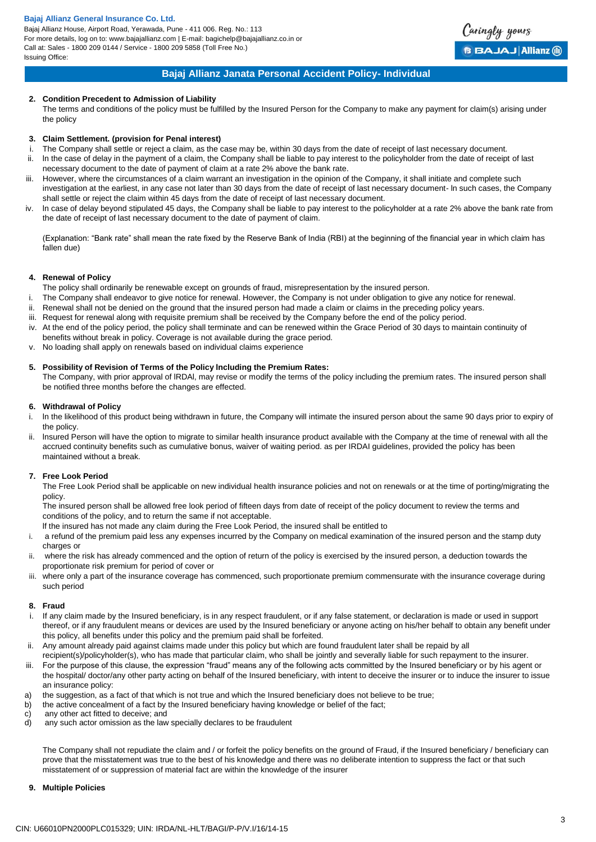Bajaj Allianz House, Airport Road, Yerawada, Pune - 411 006. Reg. No.: 113 For more details, log on to: www.bajajallianz.com | E-mail: bagichelp@bajajallianz.co.in or Call at: Sales - 1800 209 0144 / Service - 1800 209 5858 (Toll Free No.) Issuing Office:



## **Bajaj Allianz Janata Personal Accident Policy- Individual**

### **2. Condition Precedent to Admission of Liability**

The terms and conditions of the policy must be fulfilled by the Insured Person for the Company to make any payment for claim(s) arising under the policy

#### **3. Claim Settlement. (provision for Penal interest)**

- i. The Company shall settle or reject a claim, as the case may be, within 30 days from the date of receipt of last necessary document.
- ii. ln the case of delay in the payment of a claim, the Company shall be liable to pay interest to the policyholder from the date of receipt of last necessary document to the date of payment of claim at a rate 2% above the bank rate.
- iii. However, where the circumstances of a claim warrant an investigation in the opinion of the Company, it shall initiate and complete such investigation at the earliest, in any case not later than 30 days from the date of receipt of last necessary document- ln such cases, the Company shall settle or reject the claim within 45 days from the date of receipt of last necessary document.
- iv. ln case of delay beyond stipulated 45 days, the Company shall be liable to pay interest to the policyholder at a rate 2% above the bank rate from the date of receipt of last necessary document to the date of payment of claim.

(Explanation: "Bank rate" shall mean the rate fixed by the Reserve Bank of India (RBI) at the beginning of the financial year in which claim has fallen due)

### **4. Renewal of Policy**

- The policy shall ordinarily be renewable except on grounds of fraud, misrepresentation by the insured person.
- i. The Company shall endeavor to give notice for renewal. However, the Company is not under obligation to give any notice for renewal.
- ii. Renewal shall not be denied on the ground that the insured person had made a claim or claims in the preceding policy years.
- iii. Request for renewal along with requisite premium shall be received by the Company before the end of the policy period.
- iv. At the end of the policy period, the policy shall terminate and can be renewed within the Grace Period of 30 days to maintain continuity of benefits without break in policy. Coverage is not available during the grace period.
- v. No loading shall apply on renewals based on individual claims experience

### **5. Possibility of Revision of Terms of the Policy lncluding the Premium Rates:**

The Company, with prior approval of lRDAl, may revise or modify the terms of the policy including the premium rates. The insured person shall be notified three months before the changes are effected.

#### **6. Withdrawal of Policy**

- i. ln the likelihood of this product being withdrawn in future, the Company will intimate the insured person about the same 90 days prior to expiry of the policy.
- ii. lnsured Person will have the option to migrate to similar health insurance product available with the Company at the time of renewal with all the accrued continuity benefits such as cumulative bonus, waiver of waiting period. as per IRDAI guidelines, provided the policy has been maintained without a break.

### **7. Free Look Period**

The Free Look Period shall be applicable on new individual health insurance policies and not on renewals or at the time of porting/migrating the policy.

The insured person shall be allowed free look period of fifteen days from date of receipt of the policy document to review the terms and conditions of the policy, and to return the same if not acceptable.

- lf the insured has not made any claim during the Free Look Period, the insured shall be entitled to
- i. a refund of the premium paid less any expenses incurred by the Company on medical examination of the insured person and the stamp duty charges or
- ii. where the risk has already commenced and the option of return of the policy is exercised by the insured person, a deduction towards the proportionate risk premium for period of cover or
- iii. where only a part of the insurance coverage has commenced, such proportionate premium commensurate with the insurance coverage during such period

#### **8. Fraud**

- i. If any claim made by the Insured beneficiary, is in any respect fraudulent, or if any false statement, or declaration is made or used in support thereof, or if any fraudulent means or devices are used by the Insured beneficiary or anyone acting on his/her behalf to obtain any benefit under this policy, all benefits under this policy and the premium paid shall be forfeited.
- ii. Any amount already paid against claims made under this policy but which are found fraudulent later shall be repaid by all
- recipient(s)/policyholder(s), who has made that particular claim, who shall be jointly and severally liable for such repayment to the insurer. iii. For the purpose of this clause, the expression "fraud" means any of the following acts committed by the Insured beneficiary or by his agent or
- the hospital/ doctor/any other party acting on behalf of the Insured beneficiary, with intent to deceive the insurer or to induce the insurer to issue an insurance policy:
- a) the suggestion, as a fact of that which is not true and which the Insured beneficiary does not believe to be true;<br>b) the active concealment of a fact by the Insured beneficiary having knowledge or belief of the fact:
- the active concealment of a fact by the Insured beneficiary having knowledge or belief of the fact;
- c) any other act fitted to deceive; and
- d) any such actor omission as the law specially declares to be fraudulent

The Company shall not repudiate the claim and / or forfeit the policy benefits on the ground of Fraud, if the Insured beneficiary / beneficiary can prove that the misstatement was true to the best of his knowledge and there was no deliberate intention to suppress the fact or that such misstatement of or suppression of material fact are within the knowledge of the insurer

**9. Multiple Policies**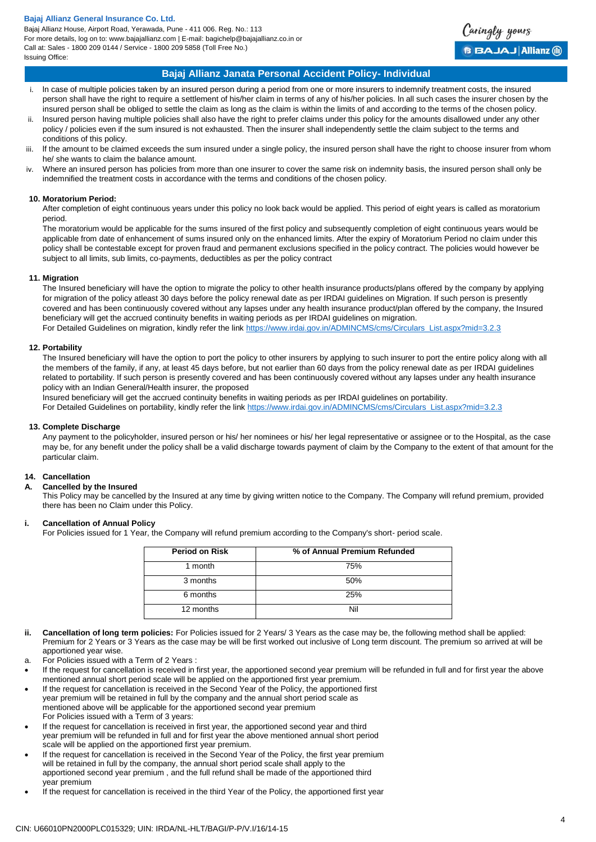Bajaj Allianz House, Airport Road, Yerawada, Pune - 411 006. Reg. No.: 113 For more details, log on to: www.bajajallianz.com | E-mail: bagichelp@bajajallianz.co.in or Call at: Sales - 1800 209 0144 / Service - 1800 209 5858 (Toll Free No.) Issuing Office:



## **Bajaj Allianz Janata Personal Accident Policy- Individual**

- i. ln case of multiple policies taken by an insured person during a period from one or more insurers to indemnify treatment costs, the insured person shall have the right to require a settlement of his/her claim in terms of any of his/her policies. ln all such cases the insurer chosen by the insured person shall be obliged to settle the claim as long as the claim is within the limits of and according to the terms of the chosen policy.
- ii. lnsured person having multiple policies shall also have the right to prefer claims under this policy for the amounts disallowed under any other policy / policies even if the sum insured is not exhausted. Then the insurer shall independently settle the claim subject to the terms and conditions of this policy.
- iii. lf the amount to be claimed exceeds the sum insured under a single policy, the insured person shall have the right to choose insurer from whom he/ she wants to claim the balance amount.
- iv. Where an insured person has policies from more than one insurer to cover the same risk on indemnity basis, the insured person shall only be indemnified the treatment costs in accordance with the terms and conditions of the chosen policy.

### **10. Moratorium Period:**

After completion of eight continuous years under this policy no look back would be applied. This period of eight years is called as moratorium period.

The moratorium would be applicable for the sums insured of the first policy and subsequently completion of eight continuous years would be applicable from date of enhancement of sums insured only on the enhanced limits. After the expiry of Moratorium Period no claim under this policy shall be contestable except for proven fraud and permanent exclusions specified in the policy contract. The policies would however be subject to all limits, sub limits, co-payments, deductibles as per the policy contract

#### **11. Migration**

The Insured beneficiary will have the option to migrate the policy to other health insurance products/plans offered by the company by applying for migration of the policy atleast 30 days before the policy renewal date as per IRDAI guidelines on Migration. If such person is presently covered and has been continuously covered without any lapses under any health insurance product/plan offered by the company, the Insured beneficiary will get the accrued continuity benefits in waiting periods as per IRDAI guidelines on migration. For Detailed Guidelines on migration, kindly refer the link [https://www.irdai.gov.in/ADMINCMS/cms/Circulars\\_List.aspx?mid=3.2.3](https://www.irdai.gov.in/ADMINCMS/cms/Circulars_List.aspx?mid=3.2.3)

#### **12. Portability**

The Insured beneficiary will have the option to port the policy to other insurers by applying to such insurer to port the entire policy along with all the members of the family, if any, at least 45 days before, but not earlier than 60 days from the policy renewal date as per IRDAI guidelines related to portability. If such person is presently covered and has been continuously covered without any lapses under any health insurance policy with an Indian General/Health insurer, the proposed

Insured beneficiary will get the accrued continuity benefits in waiting periods as per IRDAI guidelines on portability.

For Detailed Guidelines on portability, kindly refer the link [https://www.irdai.gov.in/ADMINCMS/cms/Circulars\\_List.aspx?mid=3.2.3](https://www.irdai.gov.in/ADMINCMS/cms/Circulars_List.aspx?mid=3.2.3)

#### **13. Complete Discharge**

Any payment to the policyholder, insured person or his/ her nominees or his/ her legal representative or assignee or to the Hospital, as the case may be, for any benefit under the policy shall be a valid discharge towards payment of claim by the Company to the extent of that amount for the particular claim.

## **14. Cancellation**

### **A. Cancelled by the Insured**

This Policy may be cancelled by the Insured at any time by giving written notice to the Company. The Company will refund premium, provided there has been no Claim under this Policy.

## **i. Cancellation of Annual Policy**

For Policies issued for 1 Year, the Company will refund premium according to the Company's short- period scale.

| <b>Period on Risk</b> | % of Annual Premium Refunded |
|-----------------------|------------------------------|
| 1 month               | 75%                          |
| 3 months              | 50%                          |
| 6 months              | 25%                          |
| 12 months             | Nil                          |

- **ii. Cancellation of long term policies:** For Policies issued for 2 Years/ 3 Years as the case may be, the following method shall be applied: Premium for 2 Years or 3 Years as the case may be will be first worked out inclusive of Long term discount. The premium so arrived at will be apportioned year wise.
- a. For Policies issued with a Term of 2 Years :
- If the request for cancellation is received in first year, the apportioned second year premium will be refunded in full and for first year the above mentioned annual short period scale will be applied on the apportioned first year premium.
- If the request for cancellation is received in the Second Year of the Policy, the apportioned first year premium will be retained in full by the company and the annual short period scale as mentioned above will be applicable for the apportioned second year premium For Policies issued with a Term of 3 years:
- If the request for cancellation is received in first year, the apportioned second year and third year premium will be refunded in full and for first year the above mentioned annual short period scale will be applied on the apportioned first year premium.
- If the request for cancellation is received in the Second Year of the Policy, the first year premium will be retained in full by the company, the annual short period scale shall apply to the apportioned second year premium , and the full refund shall be made of the apportioned third year premium
- If the request for cancellation is received in the third Year of the Policy, the apportioned first year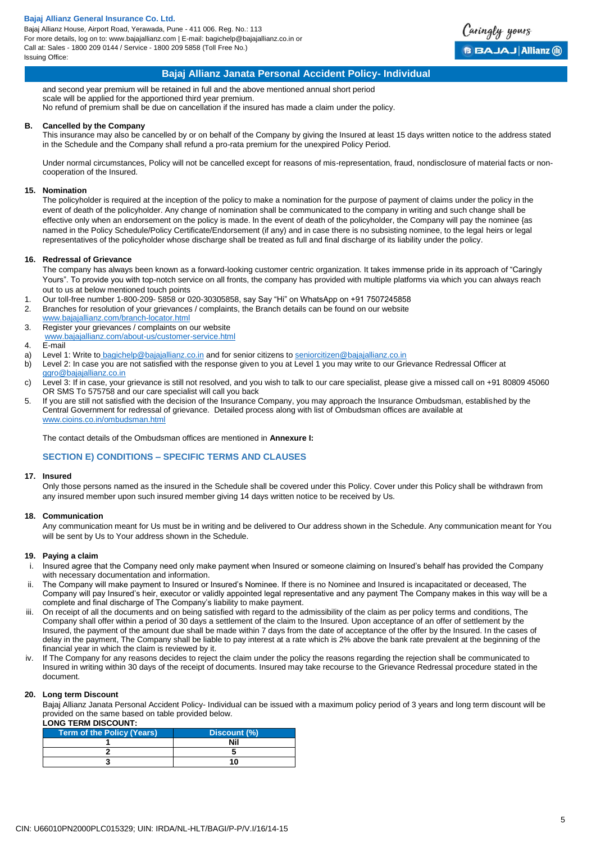Bajaj Allianz House, Airport Road, Yerawada, Pune - 411 006. Reg. No.: 113 For more details, log on to: www.bajajallianz.com | E-mail: bagichelp@bajajallianz.co.in or Call at: Sales - 1800 209 0144 / Service - 1800 209 5858 (Toll Free No.) Issuing Office:



## **Bajaj Allianz Janata Personal Accident Policy- Individual**

and second year premium will be retained in full and the above mentioned annual short period scale will be applied for the apportioned third year premium. No refund of premium shall be due on cancellation if the insured has made a claim under the policy.

### **B. Cancelled by the Company**

This insurance may also be cancelled by or on behalf of the Company by giving the Insured at least 15 days written notice to the address stated in the Schedule and the Company shall refund a pro-rata premium for the unexpired Policy Period.

Under normal circumstances, Policy will not be cancelled except for reasons of mis-representation, fraud, nondisclosure of material facts or noncooperation of the Insured.

### **15. Nomination**

The policyholder is required at the inception of the policy to make a nomination for the purpose of payment of claims under the policy in the event of death of the policyholder. Any change of nomination shall be communicated to the company in writing and such change shall be effective only when an endorsement on the policy is made. ln the event of death of the policyholder, the Company will pay the nominee {as named in the Policy Schedule/Policy Certificate/Endorsement (if any) and in case there is no subsisting nominee, to the legal heirs or legal representatives of the policyholder whose discharge shall be treated as full and final discharge of its liability under the policy.

#### **16. Redressal of Grievance**

The company has always been known as a forward-looking customer centric organization. It takes immense pride in its approach of "Caringly Yours". To provide you with top-notch service on all fronts, the company has provided with multiple platforms via which you can always reach out to us at below mentioned touch points

- 1. Our toll-free number 1-800-209- 5858 or 020-30305858, say Say "Hi" on WhatsApp on +91 7507245858
- 2. Branches for resolution of your grievances / complaints, the Branch details can be found on our website
- [www.bajajallianz.com/branch-locator.html](http://www.bajajallianz.com/branch-locator.html) 3. Register your grievances / complaints on our website
- [www.bajajallianz.com/about-us/customer-service.html](http://www.bajajallianz.com/about-us/customer-service.html)
- 4. E-mail
- a) Level 1: Write to [bagichelp@bajajallianz.co.in](mailto:bagichelp@bajajallianz.co.in) and for senior citizens to [seniorcitizen@bajajallianz.co.in](mailto:seniorcitizen@bajajallianz.co.in)
- b) Level 2: In case you are not satisfied with the response given to you at Level 1 you may write to our Grievance Redressal Officer at [ggro@bajajallianz.co.in](mailto:ggro@bajajallianz.co.in)
- c) Level 3: If in case, your grievance is still not resolved, and you wish to talk to our care specialist, please give a missed call on +91 80809 45060 OR SMS To 575758 and our care specialist will call you back
- 5. If you are still not satisfied with the decision of the Insurance Company, you may approach the Insurance Ombudsman, established by the Central Government for redressal of grievance. Detailed process along with list of Ombudsman offices are available at [www.cioins.co.in/ombudsman.html](http://www.cioins.co.in/ombudsman.html)

The contact details of the Ombudsman offices are mentioned in **Annexure I:**

### **SECTION E) CONDITIONS – SPECIFIC TERMS AND CLAUSES**

#### **17. Insured**

Only those persons named as the insured in the Schedule shall be covered under this Policy. Cover under this Policy shall be withdrawn from any insured member upon such insured member giving 14 days written notice to be received by Us.

### **18. Communication**

Any communication meant for Us must be in writing and be delivered to Our address shown in the Schedule. Any communication meant for You will be sent by Us to Your address shown in the Schedule.

### **19. Paying a claim**

- i. Insured agree that the Company need only make payment when Insured or someone claiming on Insured's behalf has provided the Company with necessary documentation and information.
- ii. The Company will make payment to Insured or Insured's Nominee. If there is no Nominee and Insured is incapacitated or deceased, The Company will pay Insured's heir, executor or validly appointed legal representative and any payment The Company makes in this way will be a complete and final discharge of The Company's liability to make payment.
- iii. On receipt of all the documents and on being satisfied with regard to the admissibility of the claim as per policy terms and conditions, The Company shall offer within a period of 30 days a settlement of the claim to the Insured. Upon acceptance of an offer of settlement by the Insured, the payment of the amount due shall be made within 7 days from the date of acceptance of the offer by the Insured. In the cases of delay in the payment, The Company shall be liable to pay interest at a rate which is 2% above the bank rate prevalent at the beginning of the financial year in which the claim is reviewed by it.
- iv. If The Company for any reasons decides to reject the claim under the policy the reasons regarding the rejection shall be communicated to Insured in writing within 30 days of the receipt of documents. Insured may take recourse to the Grievance Redressal procedure stated in the document.

### **20. Long term Discount**

Bajaj Allianz Janata Personal Accident Policy- Individual can be issued with a maximum policy period of 3 years and long term discount will be provided on the same based on table provided below. **LONG TERM DISCOUNT:**

| <b>Term of the Policy (Years)</b> | Discount (%) |  |
|-----------------------------------|--------------|--|
|                                   | Nil          |  |
|                                   |              |  |
|                                   |              |  |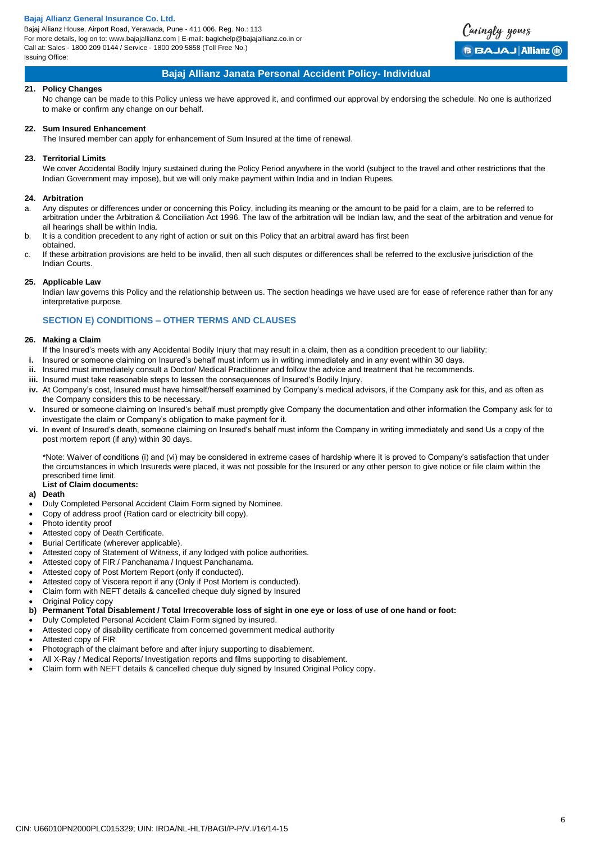Bajaj Allianz House, Airport Road, Yerawada, Pune - 411 006. Reg. No.: 113 For more details, log on to: www.bajajallianz.com | E-mail: bagichelp@bajajallianz.co.in or Call at: Sales - 1800 209 0144 / Service - 1800 209 5858 (Toll Free No.) Issuing Office:



## **Bajaj Allianz Janata Personal Accident Policy- Individual**

### **21. Policy Changes**

No change can be made to this Policy unless we have approved it, and confirmed our approval by endorsing the schedule. No one is authorized to make or confirm any change on our behalf.

#### **22. Sum Insured Enhancement**

The Insured member can apply for enhancement of Sum Insured at the time of renewal.

### **23. Territorial Limits**

We cover Accidental Bodily Injury sustained during the Policy Period anywhere in the world (subject to the travel and other restrictions that the Indian Government may impose), but we will only make payment within India and in Indian Rupees.

#### **24. Arbitration**

- a. Any disputes or differences under or concerning this Policy, including its meaning or the amount to be paid for a claim, are to be referred to arbitration under the Arbitration & Conciliation Act 1996. The law of the arbitration will be Indian law, and the seat of the arbitration and venue for all hearings shall be within India.
- b. It is a condition precedent to any right of action or suit on this Policy that an arbitral award has first been obtained.
- c. If these arbitration provisions are held to be invalid, then all such disputes or differences shall be referred to the exclusive jurisdiction of the Indian Courts.

#### **25. Applicable Law**

Indian law governs this Policy and the relationship between us. The section headings we have used are for ease of reference rather than for any interpretative purpose.

## **SECTION E) CONDITIONS – OTHER TERMS AND CLAUSES**

#### **26. Making a Claim**

- If the Insured's meets with any Accidental Bodily Injury that may result in a claim, then as a condition precedent to our liability:
- **i.** Insured or someone claiming on Insured's behalf must inform us in writing immediately and in any event within 30 days.
- Insured must immediately consult a Doctor/ Medical Practitioner and follow the advice and treatment that he recommends.
- **iii.** Insured must take reasonable steps to lessen the consequences of Insured's Bodily Injury.
- **iv.** At Company's cost, Insured must have himself/herself examined by Company's medical advisors, if the Company ask for this, and as often as the Company considers this to be necessary.
- **v.** Insured or someone claiming on Insured's behalf must promptly give Company the documentation and other information the Company ask for to investigate the claim or Company's obligation to make payment for it.
- **vi.** In event of Insured's death, someone claiming on Insured's behalf must inform the Company in writing immediately and send Us a copy of the post mortem report (if any) within 30 days.

\*Note: Waiver of conditions (i) and (vi) may be considered in extreme cases of hardship where it is proved to Company's satisfaction that under the circumstances in which Insureds were placed, it was not possible for the Insured or any other person to give notice or file claim within the prescribed time limit.

## **List of Claim documents:**

## **a) Death**

- Duly Completed Personal Accident Claim Form signed by Nominee.
- Copy of address proof (Ration card or electricity bill copy).
- Photo identity proof
- Attested copy of Death Certificate.
- Burial Certificate (wherever applicable).
- Attested copy of Statement of Witness, if any lodged with police authorities.
- Attested copy of FIR / Panchanama / Inquest Panchanama.
- Attested copy of Post Mortem Report (only if conducted).
- Attested copy of Viscera report if any (Only if Post Mortem is conducted).
- Claim form with NEFT details & cancelled cheque duly signed by Insured
- Original Policy copy
- **b) Permanent Total Disablement / Total Irrecoverable loss of sight in one eye or loss of use of one hand or foot:**
- Duly Completed Personal Accident Claim Form signed by insured.
- Attested copy of disability certificate from concerned government medical authority
- Attested copy of FIR
- Photograph of the claimant before and after injury supporting to disablement.
- All X-Ray / Medical Reports/ Investigation reports and films supporting to disablement.
- Claim form with NEFT details & cancelled cheque duly signed by Insured Original Policy copy.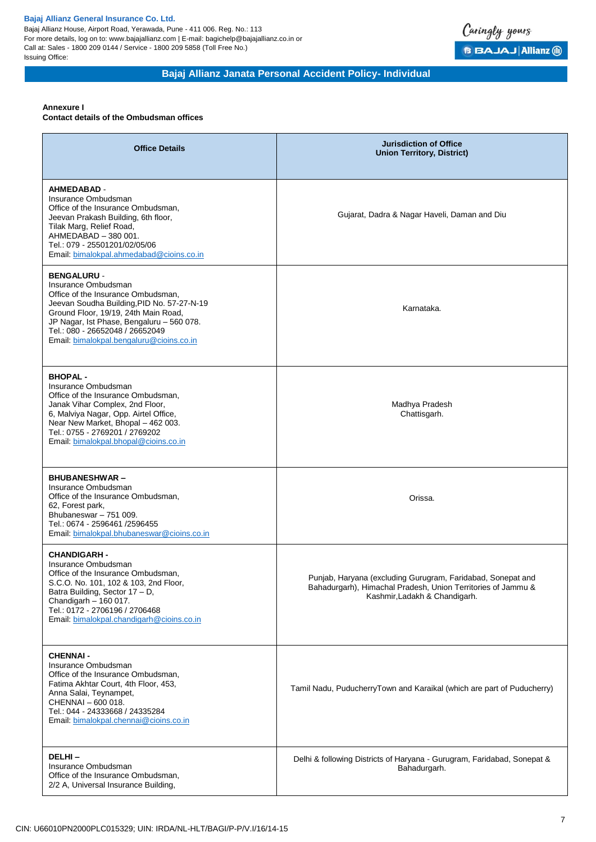Bajaj Allianz House, Airport Road, Yerawada, Pune - 411 006. Reg. No.: 113 For more details, log on to: www.bajajallianz.com | E-mail: bagichelp@bajajallianz.co.in or Call at: Sales - 1800 209 0144 / Service - 1800 209 5858 (Toll Free No.) Issuing Office:



# **Bajaj Allianz Janata Personal Accident Policy- Individual**

# **Annexure I**

**Contact details of the Ombudsman offices**

| <b>Office Details</b>                                                                                                                                                                                                                                                                             | <b>Jurisdiction of Office</b><br><b>Union Territory, District)</b>                                                                                           |  |
|---------------------------------------------------------------------------------------------------------------------------------------------------------------------------------------------------------------------------------------------------------------------------------------------------|--------------------------------------------------------------------------------------------------------------------------------------------------------------|--|
| <b>AHMEDABAD -</b><br>Insurance Ombudsman<br>Office of the Insurance Ombudsman,<br>Jeevan Prakash Building, 6th floor,<br>Tilak Marg, Relief Road,<br>AHMEDABAD - 380 001.<br>Tel.: 079 - 25501201/02/05/06<br>Email: bimalokpal.ahmedabad@cioins.co.in                                           | Gujarat, Dadra & Nagar Haveli, Daman and Diu                                                                                                                 |  |
| <b>BENGALURU -</b><br>Insurance Ombudsman<br>Office of the Insurance Ombudsman,<br>Jeevan Soudha Building, PID No. 57-27-N-19<br>Ground Floor, 19/19, 24th Main Road,<br>JP Nagar, Ist Phase, Bengaluru - 560 078.<br>Tel.: 080 - 26652048 / 26652049<br>Email: bimalokpal.bengaluru@cioins.co.in | Karnataka.                                                                                                                                                   |  |
| <b>BHOPAL-</b><br>Insurance Ombudsman<br>Office of the Insurance Ombudsman.<br>Janak Vihar Complex, 2nd Floor,<br>6, Malviya Nagar, Opp. Airtel Office,<br>Near New Market, Bhopal - 462 003.<br>Tel.: 0755 - 2769201 / 2769202<br>Email: bimalokpal.bhopal@cioins.co.in                          | Madhya Pradesh<br>Chattisgarh.                                                                                                                               |  |
| <b>BHUBANESHWAR-</b><br>Insurance Ombudsman<br>Office of the Insurance Ombudsman,<br>62, Forest park,<br>Bhubaneswar - 751 009.<br>Tel.: 0674 - 2596461 /2596455<br>Email: bimalokpal.bhubaneswar@cioins.co.in                                                                                    | Orissa.                                                                                                                                                      |  |
| <b>CHANDIGARH -</b><br>Insurance Ombudsman<br>Office of the Insurance Ombudsman,<br>S.C.O. No. 101, 102 & 103, 2nd Floor,<br>Batra Building, Sector 17 - D,<br>Chandigarh - 160 017.<br>Tel.: 0172 - 2706196 / 2706468<br>Email: bimalokpal.chandigarh@cioins.co.in                               | Punjab, Haryana (excluding Gurugram, Faridabad, Sonepat and<br>Bahadurgarh), Himachal Pradesh, Union Territories of Jammu &<br>Kashmir, Ladakh & Chandigarh. |  |
| <b>CHENNAI -</b><br>Insurance Ombudsman<br>Office of the Insurance Ombudsman,<br>Fatima Akhtar Court, 4th Floor, 453,<br>Anna Salai, Teynampet,<br>CHENNAI - 600 018.<br>Tel.: 044 - 24333668 / 24335284<br>Email: bimalokpal.chennai@cioins.co.in                                                | Tamil Nadu, PuducherryTown and Karaikal (which are part of Puducherry)                                                                                       |  |
| DELHI-<br>Insurance Ombudsman<br>Office of the Insurance Ombudsman,<br>2/2 A, Universal Insurance Building,                                                                                                                                                                                       | Delhi & following Districts of Haryana - Gurugram, Faridabad, Sonepat &<br>Bahadurgarh.                                                                      |  |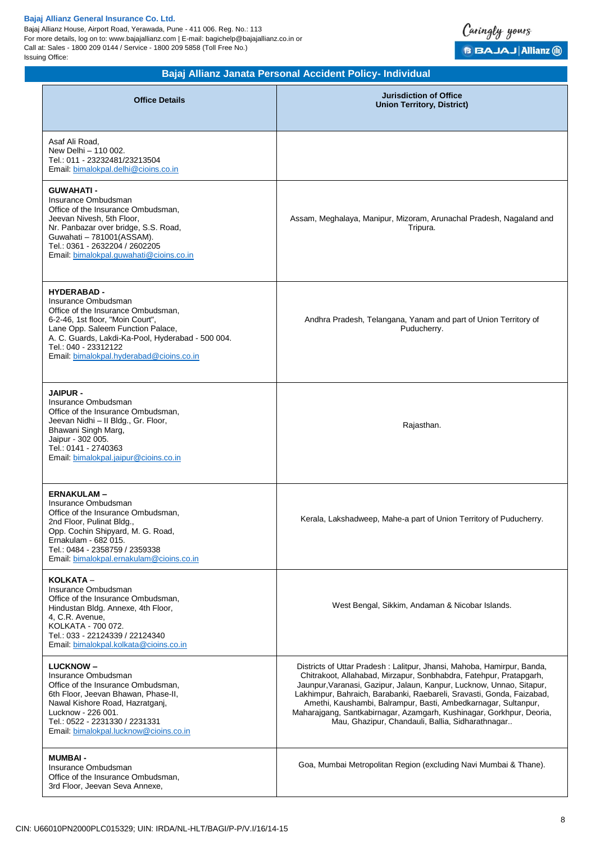Bajaj Allianz House, Airport Road, Yerawada, Pune - 411 006. Reg. No.: 113 For more details, log on to: www.bajajallianz.com | E-mail: bagichelp@bajajallianz.co.in or Call at: Sales - 1800 209 0144 / Service - 1800 209 5858 (Toll Free No.) Issuing Office:



| Bajaj Allianz Janata Personal Accident Policy- Individual                                                                                                                                                                                                                         |                                                                                                                                                                                                                                                                                                                                                                                                                                                                                             |  |  |
|-----------------------------------------------------------------------------------------------------------------------------------------------------------------------------------------------------------------------------------------------------------------------------------|---------------------------------------------------------------------------------------------------------------------------------------------------------------------------------------------------------------------------------------------------------------------------------------------------------------------------------------------------------------------------------------------------------------------------------------------------------------------------------------------|--|--|
| <b>Office Details</b>                                                                                                                                                                                                                                                             | <b>Jurisdiction of Office</b><br><b>Union Territory, District)</b>                                                                                                                                                                                                                                                                                                                                                                                                                          |  |  |
| Asaf Ali Road,<br>New Delhi - 110 002.<br>Tel.: 011 - 23232481/23213504<br>Email: bimalokpal.delhi@cioins.co.in                                                                                                                                                                   |                                                                                                                                                                                                                                                                                                                                                                                                                                                                                             |  |  |
| <b>GUWAHATI-</b><br>Insurance Ombudsman<br>Office of the Insurance Ombudsman,<br>Jeevan Nivesh, 5th Floor,<br>Nr. Panbazar over bridge, S.S. Road,<br>Guwahati - 781001 (ASSAM).<br>Tel.: 0361 - 2632204 / 2602205<br>Email: bimalokpal.guwahati@cioins.co.in                     | Assam, Meghalaya, Manipur, Mizoram, Arunachal Pradesh, Nagaland and<br>Tripura.                                                                                                                                                                                                                                                                                                                                                                                                             |  |  |
| <b>HYDERABAD -</b><br>Insurance Ombudsman<br>Office of the Insurance Ombudsman,<br>6-2-46, 1st floor, "Moin Court",<br>Lane Opp. Saleem Function Palace,<br>A. C. Guards, Lakdi-Ka-Pool, Hyderabad - 500 004.<br>Tel.: 040 - 23312122<br>Email: bimalokpal.hyderabad@cioins.co.in | Andhra Pradesh, Telangana, Yanam and part of Union Territory of<br>Puducherry.                                                                                                                                                                                                                                                                                                                                                                                                              |  |  |
| <b>JAIPUR -</b><br>Insurance Ombudsman<br>Office of the Insurance Ombudsman,<br>Jeevan Nidhi - II Bldg., Gr. Floor,<br>Bhawani Singh Marg,<br>Jaipur - 302 005.<br>Tel.: 0141 - 2740363<br>Email: bimalokpal.jaipur@cioins.co.in                                                  | Rajasthan.                                                                                                                                                                                                                                                                                                                                                                                                                                                                                  |  |  |
| <b>ERNAKULAM-</b><br>Insurance Ombudsman<br>Office of the Insurance Ombudsman.<br>2nd Floor, Pulinat Bldg.,<br>Opp. Cochin Shipyard, M. G. Road,<br>Ernakulam - 682 015.<br>Tel.: 0484 - 2358759 / 2359338<br>Email: bimalokpal.ernakulam@cioins.co.in                            | Kerala, Lakshadweep, Mahe-a part of Union Territory of Puducherry.                                                                                                                                                                                                                                                                                                                                                                                                                          |  |  |
| KOLKATA -<br>Insurance Ombudsman<br>Office of the Insurance Ombudsman.<br>Hindustan Bldg. Annexe, 4th Floor,<br>4, C.R. Avenue,<br>KOLKATA - 700 072.<br>Tel.: 033 - 22124339 / 22124340<br>Email: bimalokpal.kolkata@cioins.co.in                                                | West Bengal, Sikkim, Andaman & Nicobar Islands.                                                                                                                                                                                                                                                                                                                                                                                                                                             |  |  |
| <b>LUCKNOW-</b><br>Insurance Ombudsman<br>Office of the Insurance Ombudsman,<br>6th Floor, Jeevan Bhawan, Phase-II,<br>Nawal Kishore Road, Hazratganj,<br>Lucknow - 226 001.<br>Tel.: 0522 - 2231330 / 2231331<br>Email: bimalokpal.lucknow@cioins.co.in                          | Districts of Uttar Pradesh: Lalitpur, Jhansi, Mahoba, Hamirpur, Banda,<br>Chitrakoot, Allahabad, Mirzapur, Sonbhabdra, Fatehpur, Pratapgarh,<br>Jaunpur, Varanasi, Gazipur, Jalaun, Kanpur, Lucknow, Unnao, Sitapur,<br>Lakhimpur, Bahraich, Barabanki, Raebareli, Sravasti, Gonda, Faizabad,<br>Amethi, Kaushambi, Balrampur, Basti, Ambedkarnagar, Sultanpur,<br>Maharajgang, Santkabirnagar, Azamgarh, Kushinagar, Gorkhpur, Deoria,<br>Mau, Ghazipur, Chandauli, Ballia, Sidharathnagar |  |  |
| <b>MUMBAI -</b><br>Insurance Ombudsman<br>Office of the Insurance Ombudsman,<br>3rd Floor, Jeevan Seva Annexe,                                                                                                                                                                    | Goa, Mumbai Metropolitan Region (excluding Navi Mumbai & Thane).                                                                                                                                                                                                                                                                                                                                                                                                                            |  |  |